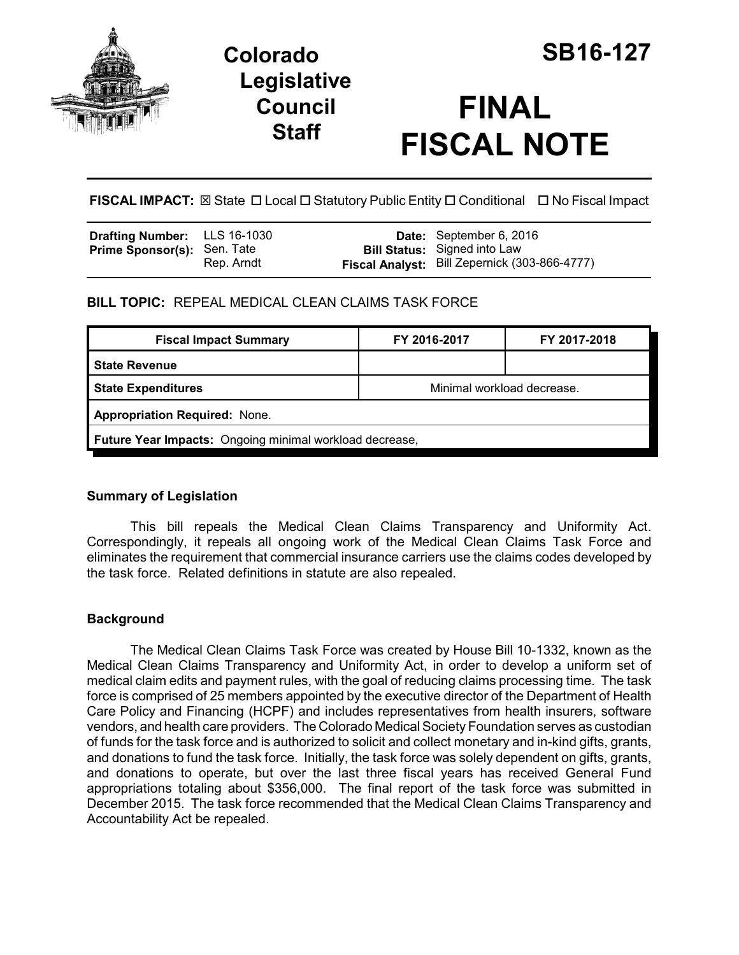

# **Colorado SB16-127 Legislative Council Staff**

# **FINAL FISCAL NOTE**

**FISCAL IMPACT:** ⊠ State □ Local □ Statutory Public Entity □ Conditional □ No Fiscal Impact

| <b>Drafting Number:</b> LLS 16-1030 |            | Date: September 6, 2016                       |
|-------------------------------------|------------|-----------------------------------------------|
| <b>Prime Sponsor(s): Sen. Tate</b>  |            | <b>Bill Status:</b> Signed into Law           |
|                                     | Rep. Arndt | Fiscal Analyst: Bill Zepernick (303-866-4777) |

**BILL TOPIC:** REPEAL MEDICAL CLEAN CLAIMS TASK FORCE

| <b>Fiscal Impact Summary</b>                            | FY 2016-2017               | FY 2017-2018 |  |  |  |
|---------------------------------------------------------|----------------------------|--------------|--|--|--|
| <b>State Revenue</b>                                    |                            |              |  |  |  |
| <b>State Expenditures</b>                               | Minimal workload decrease. |              |  |  |  |
| <b>Appropriation Required: None.</b>                    |                            |              |  |  |  |
| Future Year Impacts: Ongoing minimal workload decrease, |                            |              |  |  |  |

### **Summary of Legislation**

This bill repeals the Medical Clean Claims Transparency and Uniformity Act. Correspondingly, it repeals all ongoing work of the Medical Clean Claims Task Force and eliminates the requirement that commercial insurance carriers use the claims codes developed by the task force. Related definitions in statute are also repealed.

## **Background**

The Medical Clean Claims Task Force was created by House Bill 10-1332, known as the Medical Clean Claims Transparency and Uniformity Act, in order to develop a uniform set of medical claim edits and payment rules, with the goal of reducing claims processing time. The task force is comprised of 25 members appointed by the executive director of the Department of Health Care Policy and Financing (HCPF) and includes representatives from health insurers, software vendors, and health care providers. The Colorado Medical Society Foundation serves as custodian of funds for the task force and is authorized to solicit and collect monetary and in-kind gifts, grants, and donations to fund the task force. Initially, the task force was solely dependent on gifts, grants, and donations to operate, but over the last three fiscal years has received General Fund appropriations totaling about \$356,000. The final report of the task force was submitted in December 2015. The task force recommended that the Medical Clean Claims Transparency and Accountability Act be repealed.